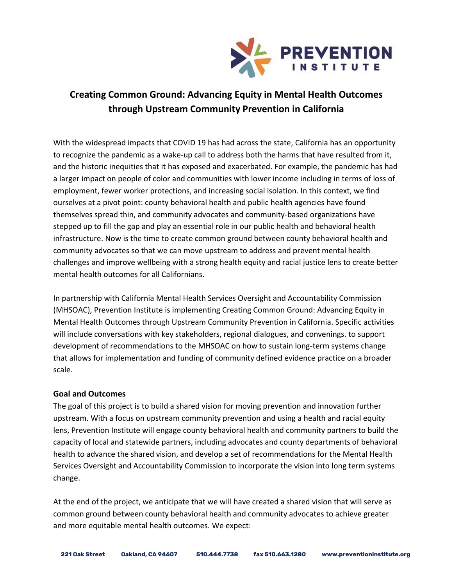

## **Creating Common Ground: Advancing Equity in Mental Health Outcomes through Upstream Community Prevention in California**

With the widespread impacts that COVID 19 has had across the state, California has an opportunity to recognize the pandemic as a wake-up call to address both the harms that have resulted from it, and the historic inequities that it has exposed and exacerbated. For example, the pandemic has had a larger impact on people of color and communities with lower income including in terms of loss of employment, fewer worker protections, and increasing social isolation. In this context, we find ourselves at a pivot point: county behavioral health and public health agencies have found themselves spread thin, and community advocates and community-based organizations have stepped up to fill the gap and play an essential role in our public health and behavioral health infrastructure. Now is the time to create common ground between county behavioral health and community advocates so that we can move upstream to address and prevent mental health challenges and improve wellbeing with a strong health equity and racial justice lens to create better mental health outcomes for all Californians.

In partnership with California Mental Health Services Oversight and Accountability Commission (MHSOAC), Prevention Institute is implementing Creating Common Ground: Advancing Equity in Mental Health Outcomes through Upstream Community Prevention in California. Specific activities will include conversations with key stakeholders, regional dialogues, and convenings. to support development of recommendations to the MHSOAC on how to sustain long-term systems change that allows for implementation and funding of community defined evidence practice on a broader scale.

## **Goal and Outcomes**

The goal of this project is to build a shared vision for moving prevention and innovation further upstream. With a focus on upstream community prevention and using a health and racial equity lens, Prevention Institute will engage county behavioral health and community partners to build the capacity of local and statewide partners, including advocates and county departments of behavioral health to advance the shared vision, and develop a set of recommendations for the Mental Health Services Oversight and Accountability Commission to incorporate the vision into long term systems change.

At the end of the project, we anticipate that we will have created a shared vision that will serve as common ground between county behavioral health and community advocates to achieve greater and more equitable mental health outcomes. We expect: